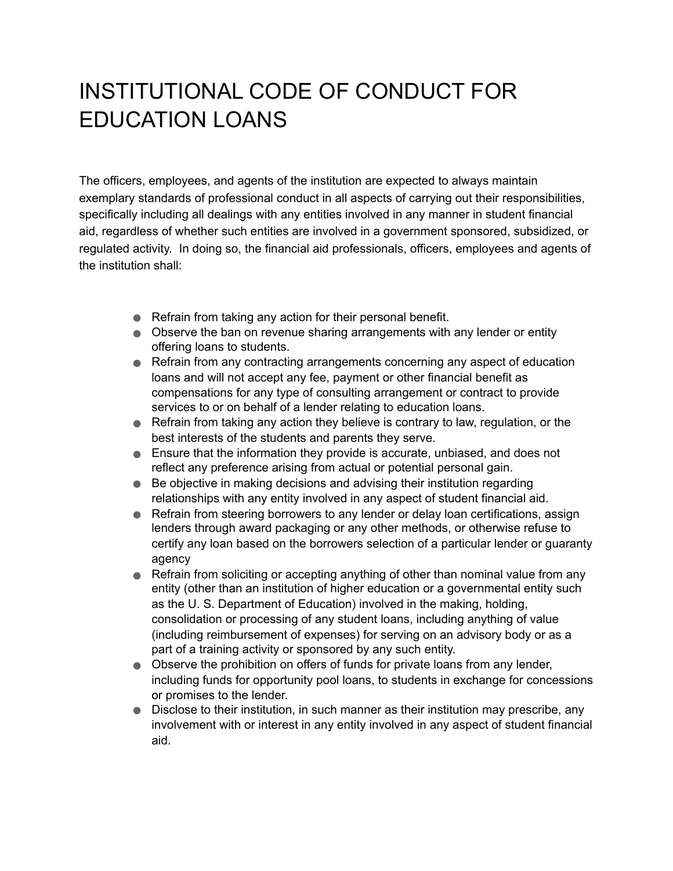## INSTITUTIONAL CODE OF CONDUCT FOR EDUCATION LOANS

The officers, employees, and agents of the institution are expected to always maintain exemplary standards of professional conduct in all aspects of carrying out their responsibilities, specifically including all dealings with any entities involved in any manner in student financial aid, regardless of whether such entities are involved in a government sponsored, subsidized, or regulated activity. In doing so, the financial aid professionals, officers, employees and agents of the institution shall:

- Refrain from taking any action for their personal benefit.
- Observe the ban on revenue sharing arrangements with any lender or entity offering loans to students.
- Refrain from any contracting arrangements concerning any aspect of education loans and will not accept any fee, payment or other financial benefit as compensations for any type of consulting arrangement or contract to provide services to or on behalf of a lender relating to education loans.
- Refrain from taking any action they believe is contrary to law, regulation, or the best interests of the students and parents they serve.
- Ensure that the information they provide is accurate, unbiased, and does not reflect any preference arising from actual or potential personal gain.
- Be objective in making decisions and advising their institution regarding relationships with any entity involved in any aspect of student financial aid.
- Refrain from steering borrowers to any lender or delay loan certifications, assign lenders through award packaging or any other methods, or otherwise refuse to certify any loan based on the borrowers selection of a particular lender or guaranty agency
- Refrain from soliciting or accepting anything of other than nominal value from any entity (other than an institution of higher education or a governmental entity such as the U. S. Department of Education) involved in the making, holding, consolidation or processing of any student loans, including anything of value (including reimbursement of expenses) for serving on an advisory body or as a part of a training activity or sponsored by any such entity.
- Observe the prohibition on offers of funds for private loans from any lender, including funds for opportunity pool loans, to students in exchange for concessions or promises to the lender.
- Disclose to their institution, in such manner as their institution may prescribe, any involvement with or interest in any entity involved in any aspect of student financial aid.